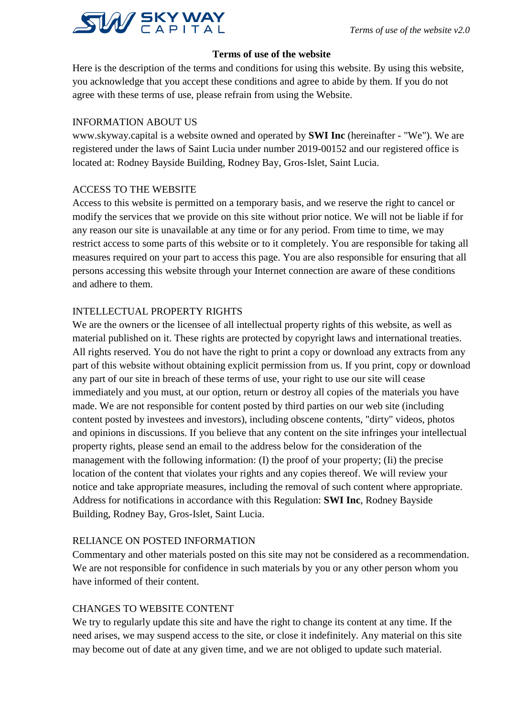

### **Terms of use of the website**

Here is the description of the terms and conditions for using this website. By using this website, you acknowledge that you accept these conditions and agree to abide by them. If you do not agree with these terms of use, please refrain from using the Website.

#### INFORMATION ABOUT US

www.skyway.capital is a website owned and operated by **SWI Inc** (hereinafter - "We"). We are registered under the laws of Saint Lucia under number 2019-00152 and our registered office is located at: Rodney Bayside Building, Rodney Bay, Gros-Islet, Saint Lucia.

#### ACCESS TO THE WEBSITE

Access to this website is permitted on a temporary basis, and we reserve the right to cancel or modify the services that we provide on this site without prior notice. We will not be liable if for any reason our site is unavailable at any time or for any period. From time to time, we may restrict access to some parts of this website or to it completely. You are responsible for taking all measures required on your part to access this page. You are also responsible for ensuring that all persons accessing this website through your Internet connection are aware of these conditions and adhere to them.

#### INTELLECTUAL PROPERTY RIGHTS

We are the owners or the licensee of all intellectual property rights of this website, as well as material published on it. These rights are protected by copyright laws and international treaties. All rights reserved. You do not have the right to print a copy or download any extracts from any part of this website without obtaining explicit permission from us. If you print, copy or download any part of our site in breach of these terms of use, your right to use our site will cease immediately and you must, at our option, return or destroy all copies of the materials you have made. We are not responsible for content posted by third parties on our web site (including content posted by investees and investors), including obscene contents, "dirty" videos, photos and opinions in discussions. If you believe that any content on the site infringes your intellectual property rights, please send an email to the address below for the consideration of the management with the following information: (I) the proof of your property; (Ii) the precise location of the content that violates your rights and any copies thereof. We will review your notice and take appropriate measures, including the removal of such content where appropriate. Address for notifications in accordance with this Regulation: **SWI Inc**, Rodney Bayside Building, Rodney Bay, Gros-Islet, Saint Lucia.

#### RELIANCE ON POSTED INFORMATION

Commentary and other materials posted on this site may not be considered as a recommendation. We are not responsible for confidence in such materials by you or any other person whom you have informed of their content.

#### CHANGES TO WEBSITE CONTENT

We try to regularly update this site and have the right to change its content at any time. If the need arises, we may suspend access to the site, or close it indefinitely. Any material on this site may become out of date at any given time, and we are not obliged to update such material.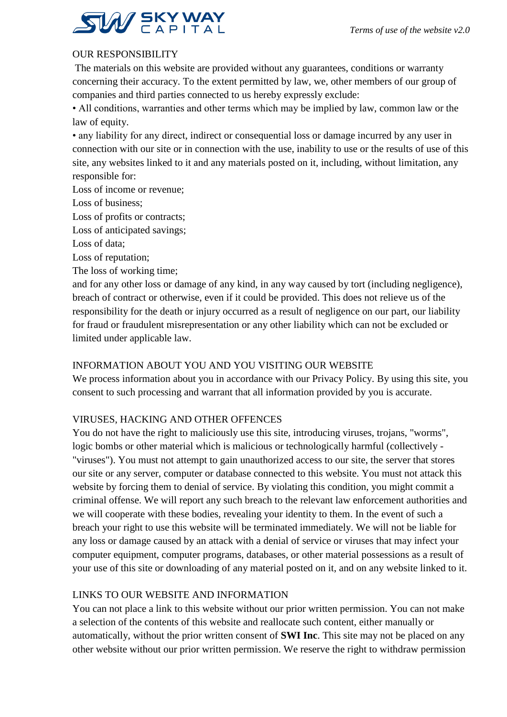

## OUR RESPONSIBILITY

The materials on this website are provided without any guarantees, conditions or warranty concerning their accuracy. To the extent permitted by law, we, other members of our group of companies and third parties connected to us hereby expressly exclude:

• All conditions, warranties and other terms which may be implied by law, common law or the law of equity.

• any liability for any direct, indirect or consequential loss or damage incurred by any user in connection with our site or in connection with the use, inability to use or the results of use of this site, any websites linked to it and any materials posted on it, including, without limitation, any responsible for:

Loss of income or revenue;

Loss of business;

Loss of profits or contracts;

Loss of anticipated savings;

Loss of data;

Loss of reputation;

The loss of working time;

and for any other loss or damage of any kind, in any way caused by tort (including negligence), breach of contract or otherwise, even if it could be provided. This does not relieve us of the responsibility for the death or injury occurred as a result of negligence on our part, our liability for fraud or fraudulent misrepresentation or any other liability which can not be excluded or limited under applicable law.

## INFORMATION ABOUT YOU AND YOU VISITING OUR WEBSITE

We process information about you in accordance with our Privacy Policy. By using this site, you consent to such processing and warrant that all information provided by you is accurate.

#### VIRUSES, HACKING AND OTHER OFFENCES

You do not have the right to maliciously use this site, introducing viruses, trojans, "worms", logic bombs or other material which is malicious or technologically harmful (collectively - "viruses"). You must not attempt to gain unauthorized access to our site, the server that stores our site or any server, computer or database connected to this website. You must not attack this website by forcing them to denial of service. By violating this condition, you might commit a criminal offense. We will report any such breach to the relevant law enforcement authorities and we will cooperate with these bodies, revealing your identity to them. In the event of such a breach your right to use this website will be terminated immediately. We will not be liable for any loss or damage caused by an attack with a denial of service or viruses that may infect your computer equipment, computer programs, databases, or other material possessions as a result of your use of this site or downloading of any material posted on it, and on any website linked to it.

#### LINKS TO OUR WEBSITE AND INFORMATION

You can not place a link to this website without our prior written permission. You can not make a selection of the contents of this website and reallocate such content, either manually or automatically, without the prior written consent of **SWI Inc**. This site may not be placed on any other website without our prior written permission. We reserve the right to withdraw permission